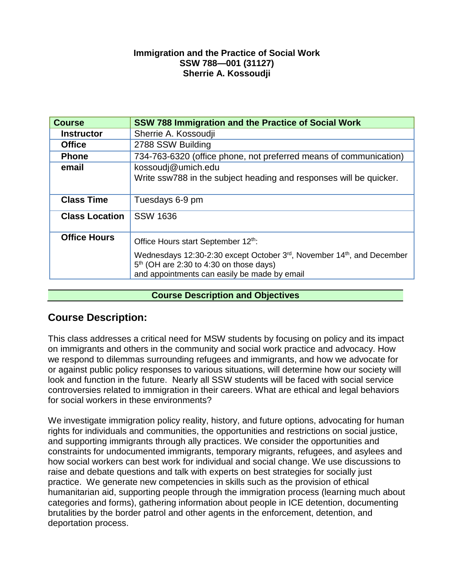#### **Immigration and the Practice of Social Work SSW 788—001 (31127) Sherrie A. Kossoudji**

| <b>Course</b>         | <b>SSW 788 Immigration and the Practice of Social Work</b>                                                                                                         |
|-----------------------|--------------------------------------------------------------------------------------------------------------------------------------------------------------------|
| <b>Instructor</b>     | Sherrie A. Kossoudji                                                                                                                                               |
| <b>Office</b>         | 2788 SSW Building                                                                                                                                                  |
| <b>Phone</b>          | 734-763-6320 (office phone, not preferred means of communication)                                                                                                  |
| email                 | kossoudj@umich.edu                                                                                                                                                 |
|                       | Write ssw788 in the subject heading and responses will be quicker.                                                                                                 |
| <b>Class Time</b>     | Tuesdays 6-9 pm                                                                                                                                                    |
| <b>Class Location</b> | <b>SSW 1636</b>                                                                                                                                                    |
| <b>Office Hours</b>   | Office Hours start September 12th:                                                                                                                                 |
|                       | Wednesdays 12:30-2:30 except October 3rd, November 14th, and December<br>$5th$ (OH are 2:30 to 4:30 on those days)<br>and appointments can easily be made by email |

#### **Course Description and Objectives**

## **Course Description:**

This class addresses a critical need for MSW students by focusing on policy and its impact on immigrants and others in the community and social work practice and advocacy. How we respond to dilemmas surrounding refugees and immigrants, and how we advocate for or against public policy responses to various situations, will determine how our society will look and function in the future. Nearly all SSW students will be faced with social service controversies related to immigration in their careers. What are ethical and legal behaviors for social workers in these environments?

We investigate immigration policy reality, history, and future options, advocating for human rights for individuals and communities, the opportunities and restrictions on social justice, and supporting immigrants through ally practices. We consider the opportunities and constraints for undocumented immigrants, temporary migrants, refugees, and asylees and how social workers can best work for individual and social change. We use discussions to raise and debate questions and talk with experts on best strategies for socially just practice. We generate new competencies in skills such as the provision of ethical humanitarian aid, supporting people through the immigration process (learning much about categories and forms), gathering information about people in ICE detention, documenting brutalities by the border patrol and other agents in the enforcement, detention, and deportation process.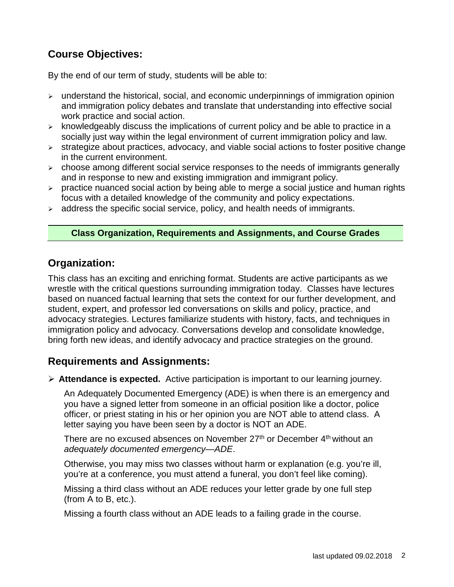# **Course Objectives:**

By the end of our term of study, students will be able to:

- $\triangleright$  understand the historical, social, and economic underpinnings of immigration opinion and immigration policy debates and translate that understanding into effective social work practice and social action.
- $\triangleright$  knowledgeably discuss the implications of current policy and be able to practice in a socially just way within the legal environment of current immigration policy and law.
- $\triangleright$  strategize about practices, advocacy, and viable social actions to foster positive change in the current environment.
- $\triangleright$  choose among different social service responses to the needs of immigrants generally and in response to new and existing immigration and immigrant policy.
- $\triangleright$  practice nuanced social action by being able to merge a social justice and human rights focus with a detailed knowledge of the community and policy expectations.
- $\geq$  address the specific social service, policy, and health needs of immigrants.

#### **Class Organization, Requirements and Assignments, and Course Grades**

## **Organization:**

This class has an exciting and enriching format. Students are active participants as we wrestle with the critical questions surrounding immigration today. Classes have lectures based on nuanced factual learning that sets the context for our further development, and student, expert, and professor led conversations on skills and policy, practice, and advocacy strategies. Lectures familiarize students with history, facts, and techniques in immigration policy and advocacy. Conversations develop and consolidate knowledge, bring forth new ideas, and identify advocacy and practice strategies on the ground.

## **Requirements and Assignments:**

**Attendance is expected.** Active participation is important to our learning journey.

An Adequately Documented Emergency (ADE) is when there is an emergency and you have a signed letter from someone in an official position like a doctor, police officer, or priest stating in his or her opinion you are NOT able to attend class. A letter saying you have been seen by a doctor is NOT an ADE.

There are no excused absences on November  $27<sup>th</sup>$  or December  $4<sup>th</sup>$  without an *adequately documented emergency—ADE*.

Otherwise, you may miss two classes without harm or explanation (e.g. you're ill, you're at a conference, you must attend a funeral, you don't feel like coming).

Missing a third class without an ADE reduces your letter grade by one full step (from A to B, etc.).

Missing a fourth class without an ADE leads to a failing grade in the course.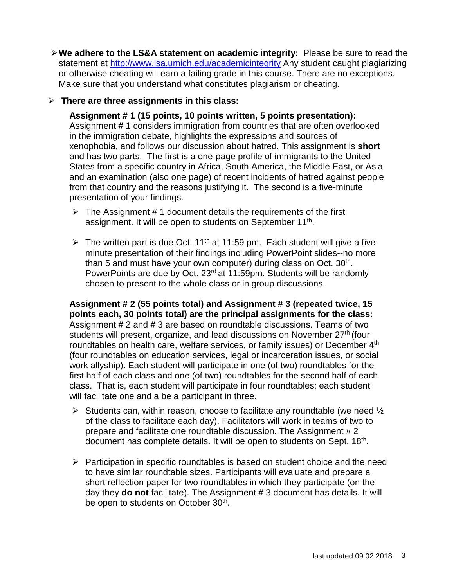**We adhere to the LS&A statement on academic integrity:** Please be sure to read the statement at<http://www.lsa.umich.edu/academicintegrity> Any student caught plagiarizing or otherwise cheating will earn a failing grade in this course. There are no exceptions. Make sure that you understand what constitutes plagiarism or cheating.

#### **There are three assignments in this class:**

**Assignment # 1 (15 points, 10 points written, 5 points presentation):**  Assignment # 1 considers immigration from countries that are often overlooked in the immigration debate, highlights the expressions and sources of xenophobia, and follows our discussion about hatred. This assignment is **short** and has two parts. The first is a one-page profile of immigrants to the United States from a specific country in Africa, South America, the Middle East, or Asia and an examination (also one page) of recent incidents of hatred against people from that country and the reasons justifying it. The second is a five-minute presentation of your findings.

- $\triangleright$  The Assignment # 1 document details the requirements of the first assignment. It will be open to students on September 11<sup>th</sup>.
- $\triangleright$  The written part is due Oct. 11<sup>th</sup> at 11:59 pm. Each student will give a fiveminute presentation of their findings including PowerPoint slides--no more than 5 and must have your own computer) during class on Oct. 30<sup>th</sup>. PowerPoints are due by Oct. 23<sup>rd</sup> at 11:59pm. Students will be randomly chosen to present to the whole class or in group discussions.

**Assignment # 2 (55 points total) and Assignment # 3 (repeated twice, 15 points each, 30 points total) are the principal assignments for the class:**  Assignment # 2 and # 3 are based on roundtable discussions. Teams of two students will present, organize, and lead discussions on November 27<sup>th</sup> (four roundtables on health care, welfare services, or family issues) or December 4<sup>th</sup> (four roundtables on education services, legal or incarceration issues, or social work allyship). Each student will participate in one (of two) roundtables for the first half of each class and one (of two) roundtables for the second half of each class. That is, each student will participate in four roundtables; each student will facilitate one and a be a participant in three.

- Students can, within reason, choose to facilitate any roundtable (we need  $\frac{1}{2}$ ) of the class to facilitate each day). Facilitators will work in teams of two to prepare and facilitate one roundtable discussion. The Assignment # 2 document has complete details. It will be open to students on Sept. 18<sup>th</sup>.
- $\triangleright$  Participation in specific roundtables is based on student choice and the need to have similar roundtable sizes. Participants will evaluate and prepare a short reflection paper for two roundtables in which they participate (on the day they **do not** facilitate). The Assignment # 3 document has details. It will be open to students on October 30<sup>th</sup>.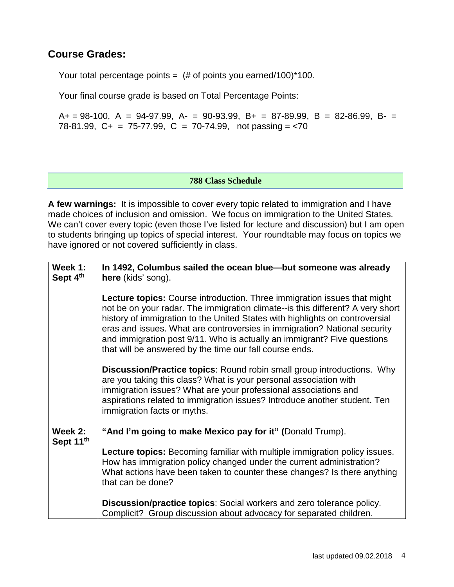## **Course Grades:**

Your total percentage points =  $(# of points you earned/100)*100$ .

Your final course grade is based on Total Percentage Points:

 $A+ = 98-100$ ,  $A = 94-97.99$ ,  $A- = 90-93.99$ ,  $B+ = 87-89.99$ ,  $B = 82-86.99$ ,  $B- =$ 78-81.99,  $C_{+}$  = 75-77.99,  $C = 70$ -74.99, not passing = <70

#### **788 Class Schedule**

**A few warnings:** It is impossible to cover every topic related to immigration and I have made choices of inclusion and omission. We focus on immigration to the United States. We can't cover every topic (even those I've listed for lecture and discussion) but I am open to students bringing up topics of special interest. Your roundtable may focus on topics we have ignored or not covered sufficiently in class.

| Week 1:   | In 1492, Columbus sailed the ocean blue—but someone was already                                                                                                                                                                                                                                                                                                                                                                                               |
|-----------|---------------------------------------------------------------------------------------------------------------------------------------------------------------------------------------------------------------------------------------------------------------------------------------------------------------------------------------------------------------------------------------------------------------------------------------------------------------|
| Sept 4th  | here (kids' song).                                                                                                                                                                                                                                                                                                                                                                                                                                            |
|           |                                                                                                                                                                                                                                                                                                                                                                                                                                                               |
|           | Lecture topics: Course introduction. Three immigration issues that might<br>not be on your radar. The immigration climate--is this different? A very short<br>history of immigration to the United States with highlights on controversial<br>eras and issues. What are controversies in immigration? National security<br>and immigration post 9/11. Who is actually an immigrant? Five questions<br>that will be answered by the time our fall course ends. |
|           | <b>Discussion/Practice topics:</b> Round robin small group introductions. Why<br>are you taking this class? What is your personal association with<br>immigration issues? What are your professional associations and<br>aspirations related to immigration issues? Introduce another student. Ten<br>immigration facts or myths.                                                                                                                             |
| Week 2:   | "And I'm going to make Mexico pay for it" (Donald Trump).                                                                                                                                                                                                                                                                                                                                                                                                     |
| Sept 11th |                                                                                                                                                                                                                                                                                                                                                                                                                                                               |
|           | Lecture topics: Becoming familiar with multiple immigration policy issues.<br>How has immigration policy changed under the current administration?<br>What actions have been taken to counter these changes? Is there anything<br>that can be done?                                                                                                                                                                                                           |
|           | Discussion/practice topics: Social workers and zero tolerance policy.<br>Complicit? Group discussion about advocacy for separated children.                                                                                                                                                                                                                                                                                                                   |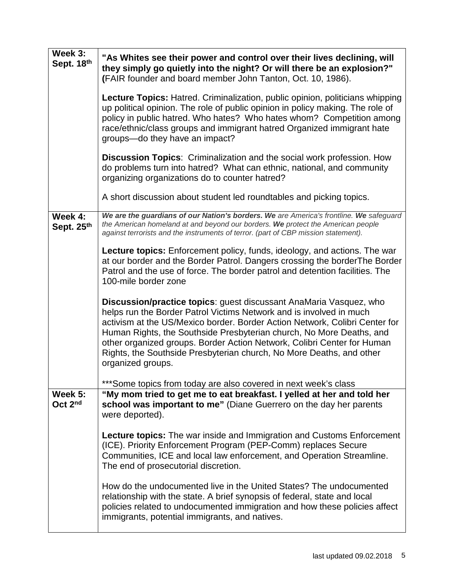| Week 3:<br>Sept. 18th | "As Whites see their power and control over their lives declining, will<br>they simply go quietly into the night? Or will there be an explosion?"<br>(FAIR founder and board member John Tanton, Oct. 10, 1986).                                                                                                                                                                                                                                                         |
|-----------------------|--------------------------------------------------------------------------------------------------------------------------------------------------------------------------------------------------------------------------------------------------------------------------------------------------------------------------------------------------------------------------------------------------------------------------------------------------------------------------|
|                       | Lecture Topics: Hatred. Criminalization, public opinion, politicians whipping<br>up political opinion. The role of public opinion in policy making. The role of<br>policy in public hatred. Who hates? Who hates whom? Competition among<br>race/ethnic/class groups and immigrant hatred Organized immigrant hate<br>groups-do they have an impact?                                                                                                                     |
|                       | <b>Discussion Topics:</b> Criminalization and the social work profession. How<br>do problems turn into hatred? What can ethnic, national, and community<br>organizing organizations do to counter hatred?                                                                                                                                                                                                                                                                |
|                       | A short discussion about student led roundtables and picking topics.                                                                                                                                                                                                                                                                                                                                                                                                     |
| Week 4:<br>Sept. 25th | We are the guardians of our Nation's borders. We are America's frontline. We safequard<br>the American homeland at and beyond our borders. We protect the American people<br>against terrorists and the instruments of terror. (part of CBP mission statement).                                                                                                                                                                                                          |
|                       | <b>Lecture topics:</b> Enforcement policy, funds, ideology, and actions. The war<br>at our border and the Border Patrol. Dangers crossing the borderThe Border<br>Patrol and the use of force. The border patrol and detention facilities. The<br>100-mile border zone                                                                                                                                                                                                   |
|                       | Discussion/practice topics: guest discussant AnaMaria Vasquez, who<br>helps run the Border Patrol Victims Network and is involved in much<br>activism at the US/Mexico border. Border Action Network, Colibri Center for<br>Human Rights, the Southside Presbyterian church, No More Deaths, and<br>other organized groups. Border Action Network, Colibri Center for Human<br>Rights, the Southside Presbyterian church, No More Deaths, and other<br>organized groups. |
| Week 5:               | ***Some topics from today are also covered in next week's class<br>"My mom tried to get me to eat breakfast. I yelled at her and told her                                                                                                                                                                                                                                                                                                                                |
| Oct $2^{\text{nd}}$   | school was important to me" (Diane Guerrero on the day her parents<br>were deported).                                                                                                                                                                                                                                                                                                                                                                                    |
|                       | <b>Lecture topics:</b> The war inside and Immigration and Customs Enforcement<br>(ICE). Priority Enforcement Program (PEP-Comm) replaces Secure<br>Communities, ICE and local law enforcement, and Operation Streamline.<br>The end of prosecutorial discretion.                                                                                                                                                                                                         |
|                       | How do the undocumented live in the United States? The undocumented<br>relationship with the state. A brief synopsis of federal, state and local<br>policies related to undocumented immigration and how these policies affect<br>immigrants, potential immigrants, and natives.                                                                                                                                                                                         |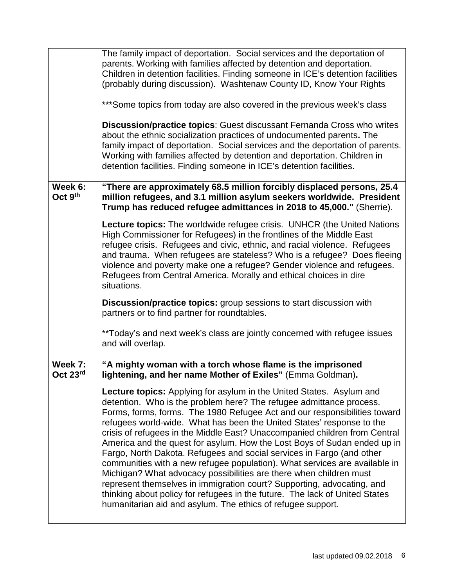|                     | The family impact of deportation. Social services and the deportation of<br>parents. Working with families affected by detention and deportation.<br>Children in detention facilities. Finding someone in ICE's detention facilities<br>(probably during discussion). Washtenaw County ID, Know Your Rights<br>*** Some topics from today are also covered in the previous week's class<br>Discussion/practice topics: Guest discussant Fernanda Cross who writes<br>about the ethnic socialization practices of undocumented parents. The<br>family impact of deportation. Social services and the deportation of parents.<br>Working with families affected by detention and deportation. Children in<br>detention facilities. Finding someone in ICE's detention facilities.                                                                                                                                         |
|---------------------|-------------------------------------------------------------------------------------------------------------------------------------------------------------------------------------------------------------------------------------------------------------------------------------------------------------------------------------------------------------------------------------------------------------------------------------------------------------------------------------------------------------------------------------------------------------------------------------------------------------------------------------------------------------------------------------------------------------------------------------------------------------------------------------------------------------------------------------------------------------------------------------------------------------------------|
| Week 6:<br>Oct 9th  | "There are approximately 68.5 million forcibly displaced persons, 25.4<br>million refugees, and 3.1 million asylum seekers worldwide. President<br>Trump has reduced refugee admittances in 2018 to 45,000." (Sherrie).                                                                                                                                                                                                                                                                                                                                                                                                                                                                                                                                                                                                                                                                                                 |
|                     | Lecture topics: The worldwide refugee crisis. UNHCR (the United Nations<br>High Commissioner for Refugees) in the frontlines of the Middle East<br>refugee crisis. Refugees and civic, ethnic, and racial violence. Refugees<br>and trauma. When refugees are stateless? Who is a refugee? Does fleeing<br>violence and poverty make one a refugee? Gender violence and refugees.<br>Refugees from Central America. Morally and ethical choices in dire<br>situations.                                                                                                                                                                                                                                                                                                                                                                                                                                                  |
|                     | <b>Discussion/practice topics:</b> group sessions to start discussion with<br>partners or to find partner for roundtables.                                                                                                                                                                                                                                                                                                                                                                                                                                                                                                                                                                                                                                                                                                                                                                                              |
|                     | ** Today's and next week's class are jointly concerned with refugee issues<br>and will overlap.                                                                                                                                                                                                                                                                                                                                                                                                                                                                                                                                                                                                                                                                                                                                                                                                                         |
| Week 7:<br>Oct 23rd | "A mighty woman with a torch whose flame is the imprisoned<br>lightening, and her name Mother of Exiles" (Emma Goldman).                                                                                                                                                                                                                                                                                                                                                                                                                                                                                                                                                                                                                                                                                                                                                                                                |
|                     | <b>Lecture topics:</b> Applying for asylum in the United States. Asylum and<br>detention. Who is the problem here? The refugee admittance process.<br>Forms, forms, forms. The 1980 Refugee Act and our responsibilities toward<br>refugees world-wide. What has been the United States' response to the<br>crisis of refugees in the Middle East? Unaccompanied children from Central<br>America and the quest for asylum. How the Lost Boys of Sudan ended up in<br>Fargo, North Dakota. Refugees and social services in Fargo (and other<br>communities with a new refugee population). What services are available in<br>Michigan? What advocacy possibilities are there when children must<br>represent themselves in immigration court? Supporting, advocating, and<br>thinking about policy for refugees in the future. The lack of United States<br>humanitarian aid and asylum. The ethics of refugee support. |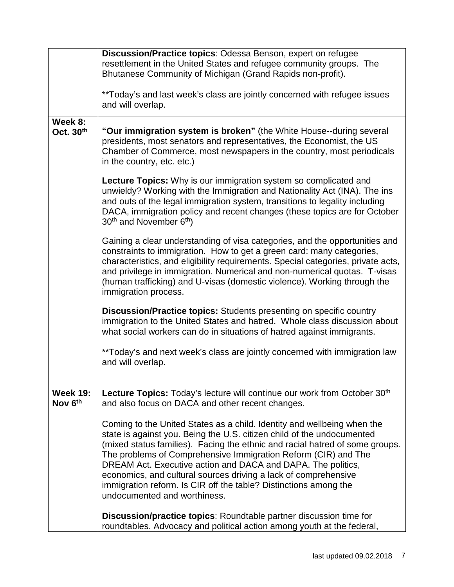|                                        | Discussion/Practice topics: Odessa Benson, expert on refugee<br>resettlement in the United States and refugee community groups. The<br>Bhutanese Community of Michigan (Grand Rapids non-profit).                                                                                                                                                                                                                                                                                                                                          |
|----------------------------------------|--------------------------------------------------------------------------------------------------------------------------------------------------------------------------------------------------------------------------------------------------------------------------------------------------------------------------------------------------------------------------------------------------------------------------------------------------------------------------------------------------------------------------------------------|
|                                        | **Today's and last week's class are jointly concerned with refugee issues<br>and will overlap.                                                                                                                                                                                                                                                                                                                                                                                                                                             |
| Week 8:<br>Oct. $30th$                 | "Our immigration system is broken" (the White House--during several<br>presidents, most senators and representatives, the Economist, the US<br>Chamber of Commerce, most newspapers in the country, most periodicals<br>in the country, etc. etc.)                                                                                                                                                                                                                                                                                         |
|                                        | <b>Lecture Topics:</b> Why is our immigration system so complicated and<br>unwieldy? Working with the Immigration and Nationality Act (INA). The ins<br>and outs of the legal immigration system, transitions to legality including<br>DACA, immigration policy and recent changes (these topics are for October<br>30 <sup>th</sup> and November 6 <sup>th</sup> )                                                                                                                                                                        |
|                                        | Gaining a clear understanding of visa categories, and the opportunities and<br>constraints to immigration. How to get a green card: many categories,<br>characteristics, and eligibility requirements. Special categories, private acts,<br>and privilege in immigration. Numerical and non-numerical quotas. T-visas<br>(human trafficking) and U-visas (domestic violence). Working through the<br>immigration process.                                                                                                                  |
|                                        | <b>Discussion/Practice topics:</b> Students presenting on specific country<br>immigration to the United States and hatred. Whole class discussion about<br>what social workers can do in situations of hatred against immigrants.                                                                                                                                                                                                                                                                                                          |
|                                        | **Today's and next week's class are jointly concerned with immigration law<br>and will overlap.                                                                                                                                                                                                                                                                                                                                                                                                                                            |
| <b>Week 19:</b><br>Nov 6 <sup>th</sup> | Lecture Topics: Today's lecture will continue our work from October 30th<br>and also focus on DACA and other recent changes.                                                                                                                                                                                                                                                                                                                                                                                                               |
|                                        | Coming to the United States as a child. Identity and wellbeing when the<br>state is against you. Being the U.S. citizen child of the undocumented<br>(mixed status families). Facing the ethnic and racial hatred of some groups.<br>The problems of Comprehensive Immigration Reform (CIR) and The<br>DREAM Act. Executive action and DACA and DAPA. The politics,<br>economics, and cultural sources driving a lack of comprehensive<br>immigration reform. Is CIR off the table? Distinctions among the<br>undocumented and worthiness. |
|                                        | <b>Discussion/practice topics:</b> Roundtable partner discussion time for<br>roundtables. Advocacy and political action among youth at the federal,                                                                                                                                                                                                                                                                                                                                                                                        |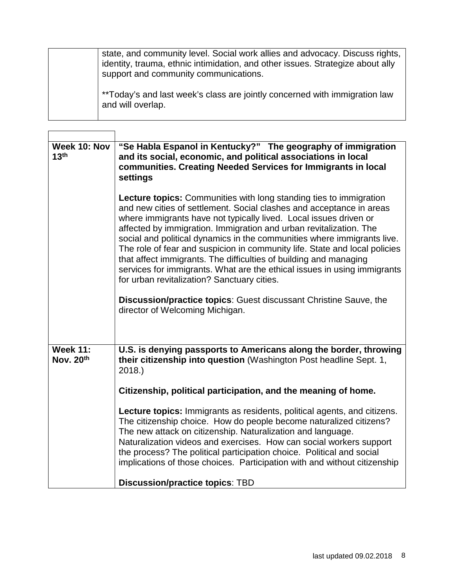| state, and community level. Social work allies and advocacy. Discuss rights,<br>identity, trauma, ethnic intimidation, and other issues. Strategize about ally<br>support and community communications. |
|---------------------------------------------------------------------------------------------------------------------------------------------------------------------------------------------------------|
| **Today's and last week's class are jointly concerned with immigration law<br>and will overlap.                                                                                                         |

| Week 10: Nov<br>13 <sup>th</sup> | "Se Habla Espanol in Kentucky?" The geography of immigration<br>and its social, economic, and political associations in local<br>communities. Creating Needed Services for Immigrants in local<br>settings<br><b>Lecture topics:</b> Communities with long standing ties to immigration                                                                                                                                                                                                                                                                                                                                                                                                 |
|----------------------------------|-----------------------------------------------------------------------------------------------------------------------------------------------------------------------------------------------------------------------------------------------------------------------------------------------------------------------------------------------------------------------------------------------------------------------------------------------------------------------------------------------------------------------------------------------------------------------------------------------------------------------------------------------------------------------------------------|
|                                  | and new cities of settlement. Social clashes and acceptance in areas<br>where immigrants have not typically lived. Local issues driven or<br>affected by immigration. Immigration and urban revitalization. The<br>social and political dynamics in the communities where immigrants live.<br>The role of fear and suspicion in community life. State and local policies<br>that affect immigrants. The difficulties of building and managing<br>services for immigrants. What are the ethical issues in using immigrants<br>for urban revitalization? Sanctuary cities.<br><b>Discussion/practice topics: Guest discussant Christine Sauve, the</b><br>director of Welcoming Michigan. |
|                                  |                                                                                                                                                                                                                                                                                                                                                                                                                                                                                                                                                                                                                                                                                         |
| <b>Week 11:</b><br>Nov. 20th     | U.S. is denying passports to Americans along the border, throwing<br>their citizenship into question (Washington Post headline Sept. 1,<br>2018.                                                                                                                                                                                                                                                                                                                                                                                                                                                                                                                                        |
|                                  | Citizenship, political participation, and the meaning of home.                                                                                                                                                                                                                                                                                                                                                                                                                                                                                                                                                                                                                          |
|                                  | Lecture topics: Immigrants as residents, political agents, and citizens.<br>The citizenship choice. How do people become naturalized citizens?<br>The new attack on citizenship. Naturalization and language.<br>Naturalization videos and exercises. How can social workers support<br>the process? The political participation choice. Political and social<br>implications of those choices. Participation with and without citizenship                                                                                                                                                                                                                                              |
|                                  | <b>Discussion/practice topics: TBD</b>                                                                                                                                                                                                                                                                                                                                                                                                                                                                                                                                                                                                                                                  |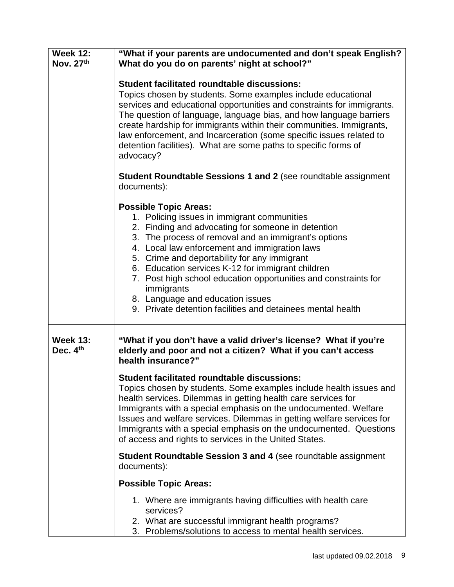| <b>Week 12:</b><br>Nov. $27th$ | "What if your parents are undocumented and don't speak English?<br>What do you do on parents' night at school?"                                                                                                                                                                                                                                                                                                                                                                                                                     |
|--------------------------------|-------------------------------------------------------------------------------------------------------------------------------------------------------------------------------------------------------------------------------------------------------------------------------------------------------------------------------------------------------------------------------------------------------------------------------------------------------------------------------------------------------------------------------------|
|                                | <b>Student facilitated roundtable discussions:</b><br>Topics chosen by students. Some examples include educational<br>services and educational opportunities and constraints for immigrants.<br>The question of language, language bias, and how language barriers<br>create hardship for immigrants within their communities. Immigrants,<br>law enforcement, and Incarceration (some specific issues related to<br>detention facilities). What are some paths to specific forms of<br>advocacy?                                   |
|                                | <b>Student Roundtable Sessions 1 and 2</b> (see roundtable assignment<br>documents):                                                                                                                                                                                                                                                                                                                                                                                                                                                |
|                                | <b>Possible Topic Areas:</b><br>1. Policing issues in immigrant communities<br>2. Finding and advocating for someone in detention<br>3. The process of removal and an immigrant's options<br>4. Local law enforcement and immigration laws<br>5. Crime and deportability for any immigrant<br>6. Education services K-12 for immigrant children<br>7. Post high school education opportunities and constraints for<br>immigrants<br>8. Language and education issues<br>9. Private detention facilities and detainees mental health |
| <b>Week 13:</b><br>Dec. $4th$  | "What if you don't have a valid driver's license? What if you're<br>elderly and poor and not a citizen? What if you can't access<br>health insurance?"                                                                                                                                                                                                                                                                                                                                                                              |
|                                | <b>Student facilitated roundtable discussions:</b><br>Topics chosen by students. Some examples include health issues and<br>health services. Dilemmas in getting health care services for<br>Immigrants with a special emphasis on the undocumented. Welfare<br>Issues and welfare services. Dilemmas in getting welfare services for<br>Immigrants with a special emphasis on the undocumented. Questions<br>of access and rights to services in the United States.                                                                |
|                                | <b>Student Roundtable Session 3 and 4 (see roundtable assignment</b><br>documents):                                                                                                                                                                                                                                                                                                                                                                                                                                                 |
|                                | <b>Possible Topic Areas:</b>                                                                                                                                                                                                                                                                                                                                                                                                                                                                                                        |
|                                | 1. Where are immigrants having difficulties with health care<br>services?<br>2. What are successful immigrant health programs?<br>3. Problems/solutions to access to mental health services.                                                                                                                                                                                                                                                                                                                                        |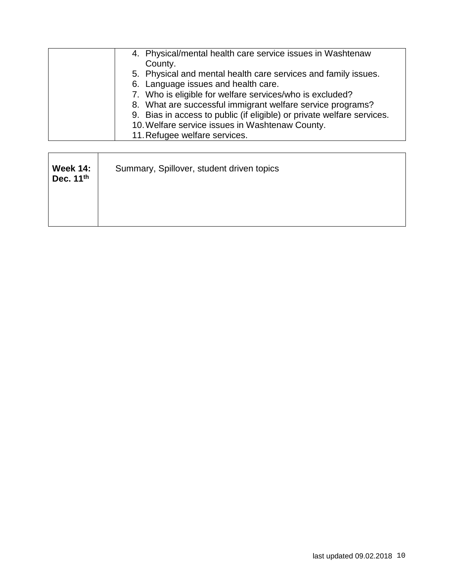| 4. Physical/mental health care service issues in Washtenaw             |
|------------------------------------------------------------------------|
| County.                                                                |
| 5. Physical and mental health care services and family issues.         |
| 6. Language issues and health care.                                    |
| 7. Who is eligible for welfare services/who is excluded?               |
| 8. What are successful immigrant welfare service programs?             |
| 9. Bias in access to public (if eligible) or private welfare services. |
| 10. Welfare service issues in Washtenaw County.                        |
| 11. Refugee welfare services.                                          |
|                                                                        |

| <b>Week 14:</b><br>Dec. 11th | Summary, Spillover, student driven topics |
|------------------------------|-------------------------------------------|
|                              |                                           |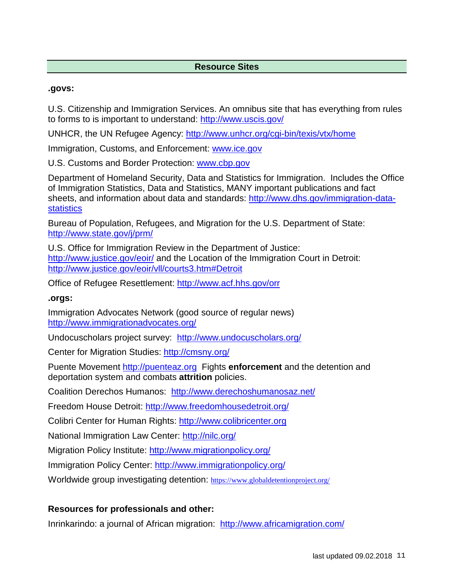#### **Resource Sites**

#### **.govs:**

U.S. Citizenship and Immigration Services. An omnibus site that has everything from rules to forms to is important to understand:<http://www.uscis.gov/>

UNHCR, the UN Refugee Agency:<http://www.unhcr.org/cgi-bin/texis/vtx/home>

Immigration, Customs, and Enforcement: [www.ice.gov](http://www.ice.gov/)

U.S. Customs and Border Protection: [www.cbp.gov](http://www.cbp.gov/)

Department of Homeland Security, Data and Statistics for Immigration. Includes the Office of Immigration Statistics, Data and Statistics, MANY important publications and fact sheets, and information about data and standards: [http://www.dhs.gov/immigration-data](http://www.dhs.gov/immigration-data-statistics)**[statistics](http://www.dhs.gov/immigration-data-statistics)** 

Bureau of Population, Refugees, and Migration for the U.S. Department of State: <http://www.state.gov/j/prm/>

U.S. Office for Immigration Review in the Department of Justice: <http://www.justice.gov/eoir/> and the Location of the Immigration Court in Detroit: <http://www.justice.gov/eoir/vll/courts3.htm#Detroit>

Office of Refugee Resettlement:<http://www.acf.hhs.gov/orr>

**.orgs:**

Immigration Advocates Network (good source of regular news) <http://www.immigrationadvocates.org/>

Undocuscholars project survey: <http://www.undocuscholars.org/>

Center for Migration Studies:<http://cmsny.org/>

Puente Movement [http://puenteaz.org](http://puenteaz.org/) Fights **enforcement** and the detention and deportation system and combats **attrition** policies.

Coalition Derechos Humanos: <http://www.derechoshumanosaz.net/>

Freedom House Detroit:<http://www.freedomhousedetroit.org/>

Colibri Center for Human Rights: [http://www.colibricenter.org](http://www.colibricenter.org/)

National Immigration Law Center:<http://nilc.org/>

Migration Policy Institute:<http://www.migrationpolicy.org/>

Immigration Policy Center:<http://www.immigrationpolicy.org/>

Worldwide group investigating detention: <https://www.globaldetentionproject.org/>

### **Resources for professionals and other:**

Inrinkarindo: a journal of African migration: <http://www.africamigration.com/>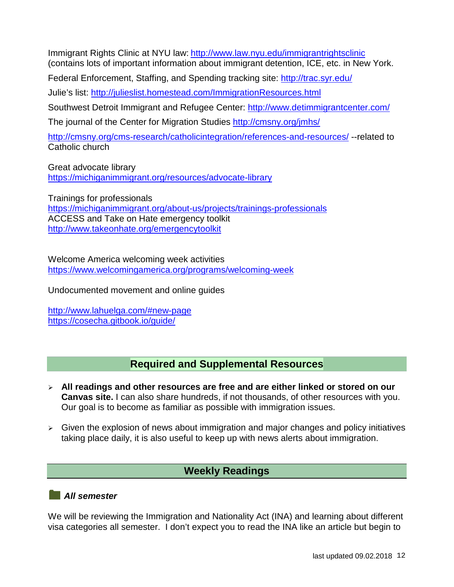Immigrant Rights Clinic at NYU law: <http://www.law.nyu.edu/immigrantrightsclinic> (contains lots of important information about immigrant detention, ICE, etc. in New York.

Federal Enforcement, Staffing, and Spending tracking site:<http://trac.syr.edu/>

Julie's list:<http://julieslist.homestead.com/ImmigrationResources.html>

Southwest Detroit Immigrant and Refugee Center:<http://www.detimmigrantcenter.com/>

The journal of the Center for Migration Studies<http://cmsny.org/jmhs/>

<http://cmsny.org/cms-research/catholicintegration/references-and-resources/> --related to Catholic church

Great advocate library <https://michiganimmigrant.org/resources/advocate-library>

Trainings for professionals <https://michiganimmigrant.org/about-us/projects/trainings-professionals> ACCESS and Take on Hate emergency toolkit <http://www.takeonhate.org/emergencytoolkit>

Welcome America welcoming week activities <https://www.welcomingamerica.org/programs/welcoming-week>

Undocumented movement and online guides

<http://www.lahuelga.com/#new-page> <https://cosecha.gitbook.io/guide/>

## **Required and Supplemental Resources**

- **All readings and other resources are free and are either linked or stored on our Canvas site.** I can also share hundreds, if not thousands, of other resources with you. Our goal is to become as familiar as possible with immigration issues.
- $\triangleright$  Given the explosion of news about immigration and major changes and policy initiatives taking place daily, it is also useful to keep up with news alerts about immigration.

## **Weekly Readings**

#### *All semester*

We will be reviewing the Immigration and Nationality Act (INA) and learning about different visa categories all semester. I don't expect you to read the INA like an article but begin to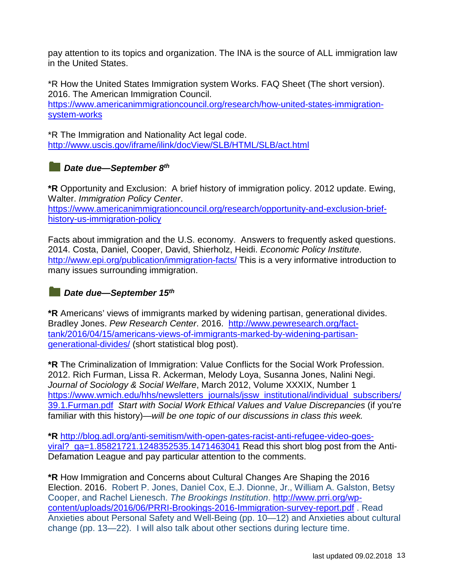pay attention to its topics and organization. The INA is the source of ALL immigration law in the United States.

\*R How the United States Immigration system Works. FAQ Sheet (The short version). 2016. The American Immigration Council. [https://www.americanimmigrationcouncil.org/research/how-united-states-immigration](https://www.americanimmigrationcouncil.org/research/how-united-states-immigration-system-works)[system-works](https://www.americanimmigrationcouncil.org/research/how-united-states-immigration-system-works)

\*R The Immigration and Nationality Act legal code. <http://www.uscis.gov/iframe/ilink/docView/SLB/HTML/SLB/act.html>

### *Date due—September 8th*

**\*R** Opportunity and Exclusion: A brief history of immigration policy. 2012 update. Ewing, Walter. *Immigration Policy Center*. [https://www.americanimmigrationcouncil.org/research/opportunity-and-exclusion-brief](https://www.americanimmigrationcouncil.org/research/opportunity-and-exclusion-brief-history-us-immigration-policy)[history-us-immigration-policy](https://www.americanimmigrationcouncil.org/research/opportunity-and-exclusion-brief-history-us-immigration-policy)

Facts about immigration and the U.S. economy. Answers to frequently asked questions. 2014. Costa, Daniel, Cooper, David, Shierholz, Heidi. *Economic Policy Institute*. <http://www.epi.org/publication/immigration-facts/> This is a very informative introduction to many issues surrounding immigration.

## *Date due—September 15th*

**\*R** Americans' views of immigrants marked by widening partisan, generational divides. Bradley Jones. *Pew Research Center*. 2016. [http://www.pewresearch.org/fact](http://www.pewresearch.org/fact-tank/2016/04/15/americans-views-of-immigrants-marked-by-widening-partisan-generational-divides/)[tank/2016/04/15/americans-views-of-immigrants-marked-by-widening-partisan](http://www.pewresearch.org/fact-tank/2016/04/15/americans-views-of-immigrants-marked-by-widening-partisan-generational-divides/)[generational-divides/](http://www.pewresearch.org/fact-tank/2016/04/15/americans-views-of-immigrants-marked-by-widening-partisan-generational-divides/) (short statistical blog post).

**\*R** The Criminalization of Immigration: Value Conflicts for the Social Work Profession. 2012. Rich Furman, Lissa R. Ackerman, Melody Loya, Susanna Jones, Nalini Negi. *Journal of Sociology & Social Welfare*, March 2012, Volume XXXIX, Number 1 [https://www.wmich.edu/hhs/newsletters\\_journals/jssw\\_institutional/individual\\_subscribers/](https://www.wmich.edu/hhs/newsletters_journals/jssw_institutional/individual_subscribers/39.1.Furman.pdf) [39.1.Furman.pdf](https://www.wmich.edu/hhs/newsletters_journals/jssw_institutional/individual_subscribers/39.1.Furman.pdf) *Start with Social Work Ethical Values and Value Discrepancies* (if you're familiar with this history)*—will be one topic of our discussions in class this week.*

**\*R** [http://blog.adl.org/anti-semitism/with-open-gates-racist-anti-refugee-video-goes](http://blog.adl.org/anti-semitism/with-open-gates-racist-anti-refugee-video-goes-viral?_ga=1.85821721.1248352535.1471463041)[viral?\\_ga=1.85821721.1248352535.1471463041](http://blog.adl.org/anti-semitism/with-open-gates-racist-anti-refugee-video-goes-viral?_ga=1.85821721.1248352535.1471463041) Read this short blog post from the Anti-Defamation League and pay particular attention to the comments.

**\*R** How Immigration and Concerns about Cultural Changes Are Shaping the 2016 Election. 2016. Robert P. Jones, Daniel Cox, E.J. Dionne, Jr., William A. Galston, Betsy Cooper, and Rachel Lienesch. *The Brookings Institution*. [http://www.prri.org/wp](http://www.prri.org/wp-content/uploads/2016/06/PRRI-Brookings-2016-Immigration-survey-report.pdf)[content/uploads/2016/06/PRRI-Brookings-2016-Immigration-survey-report.pdf](http://www.prri.org/wp-content/uploads/2016/06/PRRI-Brookings-2016-Immigration-survey-report.pdf) . Read Anxieties about Personal Safety and Well-Being (pp. 10—12) and Anxieties about cultural change (pp. 13—22). I will also talk about other sections during lecture time.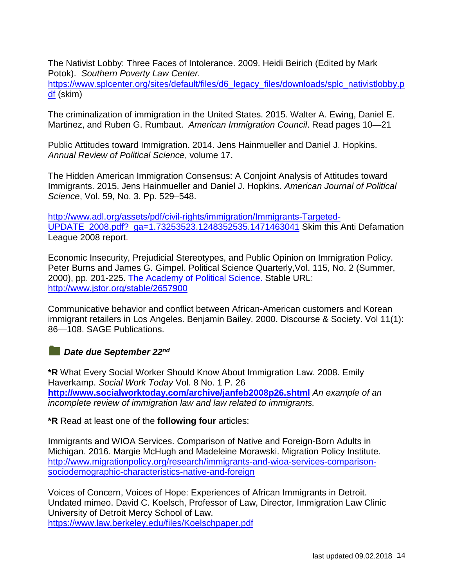The Nativist Lobby: Three Faces of Intolerance. 2009. Heidi Beirich (Edited by Mark Potok). *Southern Poverty Law Center.*

[https://www.splcenter.org/sites/default/files/d6\\_legacy\\_files/downloads/splc\\_nativistlobby.p](https://www.splcenter.org/sites/default/files/d6_legacy_files/downloads/splc_nativistlobby.pdf) [df](https://www.splcenter.org/sites/default/files/d6_legacy_files/downloads/splc_nativistlobby.pdf) (skim)

The criminalization of immigration in the United States. 2015. Walter A. Ewing, Daniel E. Martinez, and Ruben G. Rumbaut. *American Immigration Council*. Read pages 10—21

Public Attitudes toward Immigration. 2014. Jens Hainmueller and Daniel J. Hopkins. *Annual Review of Political Science*, volume 17.

The Hidden American Immigration Consensus: A Conjoint Analysis of Attitudes toward Immigrants. 2015. Jens Hainmueller and Daniel J. Hopkins. *American Journal of Political Science*, Vol. 59, No. 3. Pp. 529–548.

[http://www.adl.org/assets/pdf/civil-rights/immigration/Immigrants-Targeted-](http://www.adl.org/assets/pdf/civil-rights/immigration/Immigrants-Targeted-UPDATE_2008.pdf?_ga=1.73253523.1248352535.1471463041)[UPDATE\\_2008.pdf?\\_ga=1.73253523.1248352535.1471463041](http://www.adl.org/assets/pdf/civil-rights/immigration/Immigrants-Targeted-UPDATE_2008.pdf?_ga=1.73253523.1248352535.1471463041) Skim this Anti Defamation League 2008 report.

Economic Insecurity, Prejudicial Stereotypes, and Public Opinion on Immigration Policy. Peter Burns and James G. Gimpel. Political Science Quarterly,Vol. 115, No. 2 (Summer, 2000), pp. 201-225. The Academy of Political Science. Stable URL: <http://www.jstor.org/stable/2657900>

Communicative behavior and conflict between African-American customers and Korean immigrant retailers in Los Angeles. Benjamin Bailey. 2000. Discourse & Society. Vol 11(1): 86—108. SAGE Publications.

#### *Date due September 22nd*

**\*R** What Every Social Worker Should Know About Immigration Law. 2008. Emily Haverkamp. *Social Work Today* Vol. 8 No. 1 P. 26 **<http://www.socialworktoday.com/archive/janfeb2008p26.shtml>** *An example of an incomplete review of immigration law and law related to immigrants.* 

**\*R** Read at least one of the **following four** articles:

Immigrants and WIOA Services. Comparison of Native and Foreign-Born Adults in Michigan. 2016. Margie McHugh and Madeleine Morawski. Migration Policy Institute. [http://www.migrationpolicy.org/research/immigrants-and-wioa-services-comparison](http://www.migrationpolicy.org/research/immigrants-and-wioa-services-comparison-sociodemographic-characteristics-native-and-foreign)[sociodemographic-characteristics-native-and-foreign](http://www.migrationpolicy.org/research/immigrants-and-wioa-services-comparison-sociodemographic-characteristics-native-and-foreign)

Voices of Concern, Voices of Hope: Experiences of African Immigrants in Detroit. Undated mimeo. David C. Koelsch, Professor of Law, Director, Immigration Law Clinic University of Detroit Mercy School of Law. <https://www.law.berkeley.edu/files/Koelschpaper.pdf>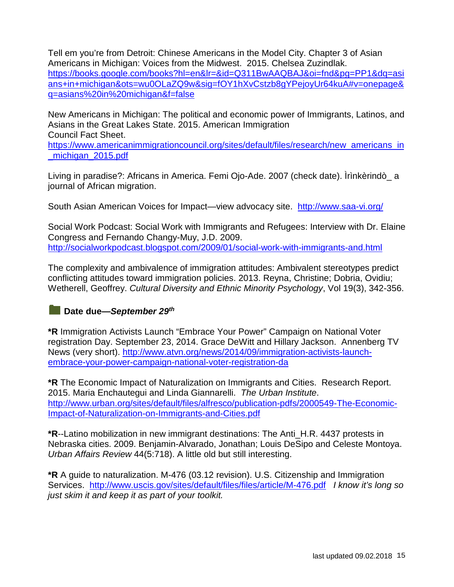Tell em you're from Detroit: Chinese Americans in the Model City. Chapter 3 of Asian Americans in Michigan: Voices from the Midwest. 2015. Chelsea Zuzindlak. [https://books.google.com/books?hl=en&lr=&id=Q311BwAAQBAJ&oi=fnd&pg=PP1&dq=asi](https://books.google.com/books?hl=en&lr=&id=Q311BwAAQBAJ&oi=fnd&pg=PP1&dq=asians+in+michigan&ots=wu0OLaZQ9w&sig=fOY1hXvCstzb8gYPejoyUr64kuA#v=onepage&q=asians%20in%20michigan&f=false) [ans+in+michigan&ots=wu0OLaZQ9w&sig=fOY1hXvCstzb8gYPejoyUr64kuA#v=onepage&](https://books.google.com/books?hl=en&lr=&id=Q311BwAAQBAJ&oi=fnd&pg=PP1&dq=asians+in+michigan&ots=wu0OLaZQ9w&sig=fOY1hXvCstzb8gYPejoyUr64kuA#v=onepage&q=asians%20in%20michigan&f=false) [q=asians%20in%20michigan&f=false](https://books.google.com/books?hl=en&lr=&id=Q311BwAAQBAJ&oi=fnd&pg=PP1&dq=asians+in+michigan&ots=wu0OLaZQ9w&sig=fOY1hXvCstzb8gYPejoyUr64kuA#v=onepage&q=asians%20in%20michigan&f=false)

New Americans in Michigan: The political and economic power of Immigrants, Latinos, and Asians in the Great Lakes State. 2015. American Immigration Council Fact Sheet.

[https://www.americanimmigrationcouncil.org/sites/default/files/research/new\\_americans\\_in](https://www.americanimmigrationcouncil.org/sites/default/files/research/new_americans_in_michigan_2015.pdf) michigan 2015.pdf

Living in paradise?: Africans in America. Femi Ojo-Ade. 2007 (check date). Ìrìnkèrindò\_ a journal of African migration.

South Asian American Voices for Impact—view advocacy site. <http://www.saa-vi.org/>

Social Work Podcast: Social Work with Immigrants and Refugees: Interview with Dr. Elaine Congress and Fernando Changy-Muy, J.D. 2009. <http://socialworkpodcast.blogspot.com/2009/01/social-work-with-immigrants-and.html>

The complexity and ambivalence of immigration attitudes: Ambivalent stereotypes predict conflicting attitudes toward immigration policies. 2013. Reyna, Christine; Dobria, Ovidiu; Wetherell, Geoffrey. *Cultural Diversity and Ethnic Minority Psychology*, Vol 19(3), 342-356.

### **Date due—September 29th**

**\*R** Immigration Activists Launch "Embrace Your Power" Campaign on National Voter registration Day. September 23, 2014. Grace DeWitt and Hillary Jackson. Annenberg TV News (very short). [http://www.atvn.org/news/2014/09/immigration-activists-launch](http://www.atvn.org/news/2014/09/immigration-activists-launch-embrace-your-power-campaign-national-voter-registration-da)[embrace-your-power-campaign-national-voter-registration-da](http://www.atvn.org/news/2014/09/immigration-activists-launch-embrace-your-power-campaign-national-voter-registration-da)

**\*R** The Economic Impact of Naturalization on Immigrants and Cities. Research Report. 2015. Maria Enchautegui and Linda Giannarelli. *The Urban Institute*. [http://www.urban.org/sites/default/files/alfresco/publication-pdfs/2000549-The-Economic-](http://www.urban.org/sites/default/files/alfresco/publication-pdfs/2000549-The-Economic-Impact-of-Naturalization-on-Immigrants-and-Cities.pdf)[Impact-of-Naturalization-on-Immigrants-and-Cities.pdf](http://www.urban.org/sites/default/files/alfresco/publication-pdfs/2000549-The-Economic-Impact-of-Naturalization-on-Immigrants-and-Cities.pdf)

**\*R**--Latino mobilization in new immigrant destinations: The Anti\_H.R. 4437 protests in Nebraska cities. 2009. Benjamin-Alvarado, Jonathan; Louis DeSipo and Celeste Montoya. *Urban Affairs Review* 44(5:718). A little old but still interesting.

**\*R** A guide to naturalization. M-476 (03.12 revision). U.S. Citizenship and Immigration Services. <http://www.uscis.gov/sites/default/files/files/article/M-476.pdf> *I know it's long so just skim it and keep it as part of your toolkit.*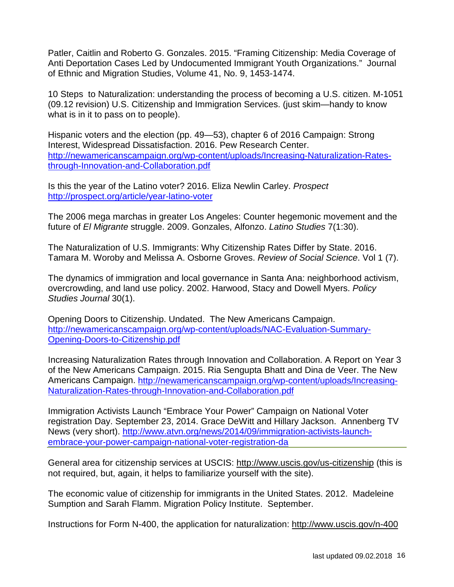Patler, Caitlin and Roberto G. Gonzales. 2015. "Framing Citizenship: Media Coverage of Anti Deportation Cases Led by Undocumented Immigrant Youth Organizations." Journal of Ethnic and Migration Studies, Volume 41, No. 9, 1453-1474.

10 Steps to Naturalization: understanding the process of becoming a U.S. citizen. M-1051 (09.12 revision) U.S. Citizenship and Immigration Services. (just skim—handy to know what is in it to pass on to people).

Hispanic voters and the election (pp. 49—53), chapter 6 of 2016 Campaign: Strong Interest, Widespread Dissatisfaction. 2016. Pew Research Center. [http://newamericanscampaign.org/wp-content/uploads/Increasing-Naturalization-Rates](http://newamericanscampaign.org/wp-content/uploads/Increasing-Naturalization-Rates-through-Innovation-and-Collaboration.pdf)[through-Innovation-and-Collaboration.pdf](http://newamericanscampaign.org/wp-content/uploads/Increasing-Naturalization-Rates-through-Innovation-and-Collaboration.pdf)

Is this the year of the Latino voter? 2016. Eliza Newlin Carley. *Prospect*  <http://prospect.org/article/year-latino-voter>

The 2006 mega marchas in greater Los Angeles: Counter hegemonic movement and the future of *El Migrante* struggle. 2009. Gonzales, Alfonzo. *Latino Studies* 7(1:30).

The Naturalization of U.S. Immigrants: Why Citizenship Rates Differ by State. 2016. Tamara M. Woroby and Melissa A. Osborne Groves. *Review of Social Science*. Vol 1 (7).

The dynamics of immigration and local governance in Santa Ana: neighborhood activism, overcrowding, and land use policy. 2002. Harwood, Stacy and Dowell Myers. *Policy Studies Journal* 30(1).

Opening Doors to Citizenship. Undated. The New Americans Campaign. [http://newamericanscampaign.org/wp-content/uploads/NAC-Evaluation-Summary-](http://newamericanscampaign.org/wp-content/uploads/NAC-Evaluation-Summary-Opening-Doors-to-Citizenship.pdf)[Opening-Doors-to-Citizenship.pdf](http://newamericanscampaign.org/wp-content/uploads/NAC-Evaluation-Summary-Opening-Doors-to-Citizenship.pdf)

Increasing Naturalization Rates through Innovation and Collaboration. A Report on Year 3 of the New Americans Campaign. 2015. Ria Sengupta Bhatt and Dina de Veer. The New Americans Campaign. [http://newamericanscampaign.org/wp-content/uploads/Increasing-](http://newamericanscampaign.org/wp-content/uploads/Increasing-Naturalization-Rates-through-Innovation-and-Collaboration.pdf)[Naturalization-Rates-through-Innovation-and-Collaboration.pdf](http://newamericanscampaign.org/wp-content/uploads/Increasing-Naturalization-Rates-through-Innovation-and-Collaboration.pdf)

Immigration Activists Launch "Embrace Your Power" Campaign on National Voter registration Day. September 23, 2014. Grace DeWitt and Hillary Jackson. Annenberg TV News (very short). [http://www.atvn.org/news/2014/09/immigration-activists-launch](http://www.atvn.org/news/2014/09/immigration-activists-launch-embrace-your-power-campaign-national-voter-registration-da)[embrace-your-power-campaign-national-voter-registration-da](http://www.atvn.org/news/2014/09/immigration-activists-launch-embrace-your-power-campaign-national-voter-registration-da)

General area for citizenship services at USCIS:<http://www.uscis.gov/us-citizenship> (this is not required, but, again, it helps to familiarize yourself with the site).

The economic value of citizenship for immigrants in the United States. 2012. Madeleine Sumption and Sarah Flamm. Migration Policy Institute. September.

Instructions for Form N-400, the application for naturalization:<http://www.uscis.gov/n-400>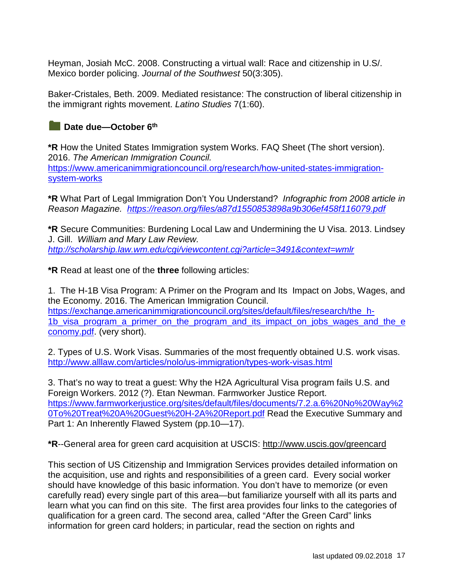Heyman, Josiah McC. 2008. Constructing a virtual wall: Race and citizenship in U.S/. Mexico border policing. *Journal of the Southwest* 50(3:305).

Baker-Cristales, Beth. 2009. Mediated resistance: The construction of liberal citizenship in the immigrant rights movement. *Latino Studies* 7(1:60).

### **Date due—October 6th**

**\*R** How the United States Immigration system Works. FAQ Sheet (The short version). 2016. *The American Immigration Council.*  [https://www.americanimmigrationcouncil.org/research/how-united-states-immigration](https://www.americanimmigrationcouncil.org/research/how-united-states-immigration-system-works)[system-works](https://www.americanimmigrationcouncil.org/research/how-united-states-immigration-system-works)

**\*R** What Part of Legal Immigration Don't You Understand? *Infographic from 2008 article in Reason Magazine. <https://reason.org/files/a87d1550853898a9b306ef458f116079.pdf>*

**\*R** Secure Communities: Burdening Local Law and Undermining the U Visa. 2013. Lindsey J. Gill. *William and Mary Law Review. <http://scholarship.law.wm.edu/cgi/viewcontent.cgi?article=3491&context=wmlr>*

**\*R** Read at least one of the **three** following articles:

1. The H-1B Visa Program: A Primer on the Program and Its Impact on Jobs, Wages, and the Economy. 2016. The American Immigration Council. [https://exchange.americanimmigrationcouncil.org/sites/default/files/research/the\\_h-](https://exchange.americanimmigrationcouncil.org/sites/default/files/research/the_h-1b_visa_program_a_primer_on_the_program_and_its_impact_on_jobs_wages_and_the_economy.pdf)[1b\\_visa\\_program\\_a\\_primer\\_on\\_the\\_program\\_and\\_its\\_impact\\_on\\_jobs\\_wages\\_and\\_the\\_e](https://exchange.americanimmigrationcouncil.org/sites/default/files/research/the_h-1b_visa_program_a_primer_on_the_program_and_its_impact_on_jobs_wages_and_the_economy.pdf) [conomy.pdf.](https://exchange.americanimmigrationcouncil.org/sites/default/files/research/the_h-1b_visa_program_a_primer_on_the_program_and_its_impact_on_jobs_wages_and_the_economy.pdf) (very short).

2. Types of U.S. Work Visas. Summaries of the most frequently obtained U.S. work visas. <http://www.alllaw.com/articles/nolo/us-immigration/types-work-visas.html>

3. That's no way to treat a guest: Why the H2A Agricultural Visa program fails U.S. and Foreign Workers. 2012 (?). Etan Newman. Farmworker Justice Report. [https://www.farmworkerjustice.org/sites/default/files/documents/7.2.a.6%20No%20Way%2](https://www.farmworkerjustice.org/sites/default/files/documents/7.2.a.6%20No%20Way%20To%20Treat%20A%20Guest%20H-2A%20Report.pdf) [0To%20Treat%20A%20Guest%20H-2A%20Report.pdf](https://www.farmworkerjustice.org/sites/default/files/documents/7.2.a.6%20No%20Way%20To%20Treat%20A%20Guest%20H-2A%20Report.pdf) Read the Executive Summary and Part 1: An Inherently Flawed System (pp.10—17).

**\*R**--General area for green card acquisition at USCIS:<http://www.uscis.gov/greencard>

This section of US Citizenship and Immigration Services provides detailed information on the acquisition, use and rights and responsibilities of a green card. Every social worker should have knowledge of this basic information. You don't have to memorize (or even carefully read) every single part of this area—but familiarize yourself with all its parts and learn what you can find on this site. The first area provides four links to the categories of qualification for a green card. The second area, called "After the Green Card" links information for green card holders; in particular, read the section on rights and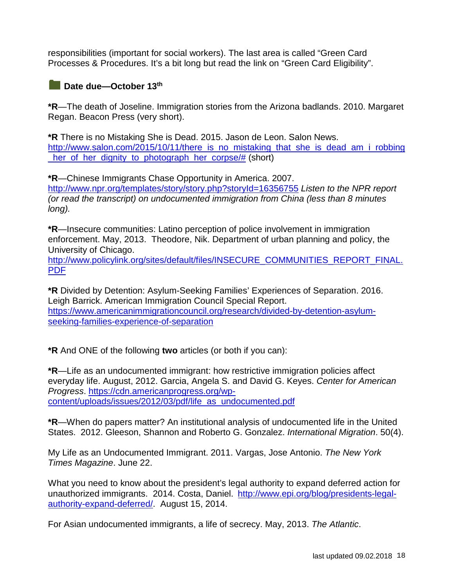responsibilities (important for social workers). The last area is called "Green Card Processes & Procedures. It's a bit long but read the link on "Green Card Eligibility".

### **Date due—October 13th**

**\*R**—The death of Joseline. Immigration stories from the Arizona badlands. 2010. Margaret Regan. Beacon Press (very short).

**\*R** There is no Mistaking She is Dead. 2015. Jason de Leon. Salon News. http://www.salon.com/2015/10/11/there is no\_mistaking that she is dead am i\_robbing [\\_her\\_of\\_her\\_dignity\\_to\\_photograph\\_her\\_corpse/#](http://www.salon.com/2015/10/11/there_is_no_mistaking_that_she_is_dead_am_i_robbing_her_of_her_dignity_to_photograph_her_corpse/) (short)

**\*R**—Chinese Immigrants Chase Opportunity in America. 2007. <http://www.npr.org/templates/story/story.php?storyId=16356755> *Listen to the NPR report (or read the transcript) on undocumented immigration from China (less than 8 minutes long).*

**\*R**—Insecure communities: Latino perception of police involvement in immigration enforcement. May, 2013. Theodore, Nik. Department of urban planning and policy, the University of Chicago.

[http://www.policylink.org/sites/default/files/INSECURE\\_COMMUNITIES\\_REPORT\\_FINAL.](http://www.policylink.org/sites/default/files/INSECURE_COMMUNITIES_REPORT_FINAL.PDF) [PDF](http://www.policylink.org/sites/default/files/INSECURE_COMMUNITIES_REPORT_FINAL.PDF)

**\*R** Divided by Detention: Asylum-Seeking Families' Experiences of Separation. 2016. Leigh Barrick. American Immigration Council Special Report. [https://www.americanimmigrationcouncil.org/research/divided-by-detention-asylum](https://www.americanimmigrationcouncil.org/research/divided-by-detention-asylum-seeking-families-experience-of-separation)[seeking-families-experience-of-separation](https://www.americanimmigrationcouncil.org/research/divided-by-detention-asylum-seeking-families-experience-of-separation)

**\*R** And ONE of the following **two** articles (or both if you can):

**\*R**—Life as an undocumented immigrant: how restrictive immigration policies affect everyday life. August, 2012. Garcia, Angela S. and David G. Keyes. *Center for American Progress*. [https://cdn.americanprogress.org/wp](https://cdn.americanprogress.org/wp-content/uploads/issues/2012/03/pdf/life_as_undocumented.pdf)[content/uploads/issues/2012/03/pdf/life\\_as\\_undocumented.pdf](https://cdn.americanprogress.org/wp-content/uploads/issues/2012/03/pdf/life_as_undocumented.pdf)

**\*R**—When do papers matter? An institutional analysis of undocumented life in the United States. 2012. Gleeson, Shannon and Roberto G. Gonzalez. *International Migration*. 50(4).

My Life as an Undocumented Immigrant. 2011. Vargas, Jose Antonio. *The New York Times Magazine*. June 22.

What you need to know about the president's legal authority to expand deferred action for unauthorized immigrants. 2014. Costa, Daniel. [http://www.epi.org/blog/presidents-legal](http://www.epi.org/blog/presidents-legal-authority-expand-deferred/)[authority-expand-deferred/.](http://www.epi.org/blog/presidents-legal-authority-expand-deferred/) August 15, 2014.

For Asian undocumented immigrants, a life of secrecy. May, 2013. *The Atlantic*.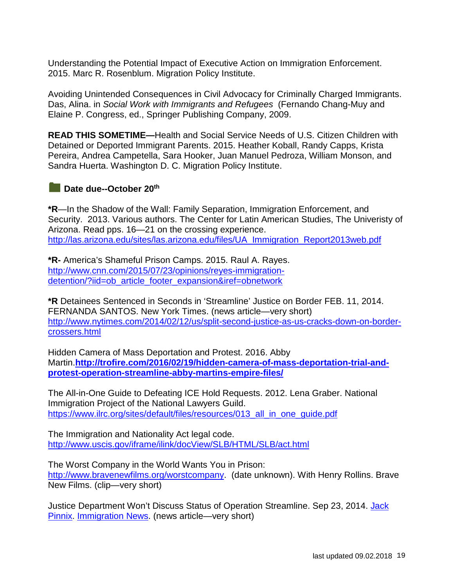Understanding the Potential Impact of Executive Action on Immigration Enforcement. 2015. Marc R. Rosenblum. Migration Policy Institute.

Avoiding Unintended Consequences in Civil Advocacy for Criminally Charged Immigrants. Das, Alina. in *Social Work with Immigrants and Refugees* (Fernando Chang-Muy and Elaine P. Congress, ed., Springer Publishing Company, 2009.

**READ THIS SOMETIME—**Health and Social Service Needs of U.S. Citizen Children with Detained or Deported Immigrant Parents. 2015. Heather Koball, Randy Capps, Krista Pereira, Andrea Campetella, Sara Hooker, Juan Manuel Pedroza, William Monson, and Sandra Huerta. Washington D. C. Migration Policy Institute.

#### **Date due--October 20th**

**\*R**—In the Shadow of the Wall: Family Separation, Immigration Enforcement, and Security. 2013. Various authors. The Center for Latin American Studies, The Univeristy of Arizona. Read pps. 16—21 on the crossing experience. [http://las.arizona.edu/sites/las.arizona.edu/files/UA\\_Immigration\\_Report2013web.pdf](http://las.arizona.edu/sites/las.arizona.edu/files/UA_Immigration_Report2013web.pdf)

**\*R-** America's Shameful Prison Camps. 2015. Raul A. Rayes. [http://www.cnn.com/2015/07/23/opinions/reyes-immigration](http://www.cnn.com/2015/07/23/opinions/reyes-immigration-detention/?iid=ob_article_footer_expansion&iref=obnetwork)[detention/?iid=ob\\_article\\_footer\\_expansion&iref=obnetwork](http://www.cnn.com/2015/07/23/opinions/reyes-immigration-detention/?iid=ob_article_footer_expansion&iref=obnetwork)

**\*R** Detainees Sentenced in Seconds in 'Streamline' Justice on Border FEB. 11, 2014. FERNANDA SANTOS. New York Times. (news article—very short) [http://www.nytimes.com/2014/02/12/us/split-second-justice-as-us-cracks-down-on-border](http://www.nytimes.com/2014/02/12/us/split-second-justice-as-us-cracks-down-on-border-crossers.html)[crossers.html](http://www.nytimes.com/2014/02/12/us/split-second-justice-as-us-cracks-down-on-border-crossers.html)

Hidden Camera of Mass Deportation and Protest. 2016. Abby Martin.**[http://trofire.com/2016/02/19/hidden-camera-of-mass-deportation-trial-and](http://trofire.com/2016/02/19/hidden-camera-of-mass-deportation-trial-and-protest-operation-streamline-abby-martins-empire-files/)[protest-operation-streamline-abby-martins-empire-files/](http://trofire.com/2016/02/19/hidden-camera-of-mass-deportation-trial-and-protest-operation-streamline-abby-martins-empire-files/)**

The All-in-One Guide to Defeating ICE Hold Requests. 2012. Lena Graber. National Immigration Project of the National Lawyers Guild. https://www.ilrc.org/sites/default/files/resources/013 all in one quide.pdf

The Immigration and Nationality Act legal code. <http://www.uscis.gov/iframe/ilink/docView/SLB/HTML/SLB/act.html>

The Worst Company in the World Wants You in Prison: [http://www.bravenewfilms.org/worstcompany.](http://www.bravenewfilms.org/worstcompany) (date unknown). With Henry Rollins. Brave New Films. (clip—very short)

Justice Department Won't Discuss Status of Operation Streamline. Sep 23, 2014. [Jack](http://immigration-naturalization-law.com/author/jackpinnix/)  [Pinnix.](http://immigration-naturalization-law.com/author/jackpinnix/) [Immigration News.](http://immigration-naturalization-law.com/category/immigration-news/) (news article—very short)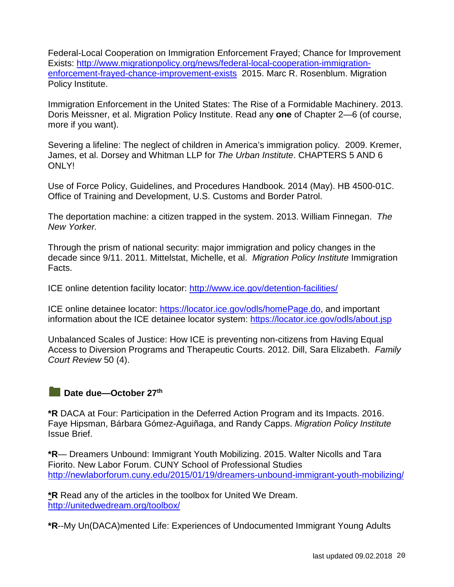Federal-Local Cooperation on Immigration Enforcement Frayed; Chance for Improvement Exists: [http://www.migrationpolicy.org/news/federal-local-cooperation-immigration](http://www.migrationpolicy.org/news/federal-local-cooperation-immigration-enforcement-frayed-chance-improvement-exists)[enforcement-frayed-chance-improvement-exists](http://www.migrationpolicy.org/news/federal-local-cooperation-immigration-enforcement-frayed-chance-improvement-exists) 2015. Marc R. Rosenblum. Migration Policy Institute.

Immigration Enforcement in the United States: The Rise of a Formidable Machinery. 2013. Doris Meissner, et al. Migration Policy Institute. Read any **one** of Chapter 2—6 (of course, more if you want).

Severing a lifeline: The neglect of children in America's immigration policy. 2009. Kremer, James, et al. Dorsey and Whitman LLP for *The Urban Institute*. CHAPTERS 5 AND 6 ONLY!

Use of Force Policy, Guidelines, and Procedures Handbook. 2014 (May). HB 4500-01C. Office of Training and Development, U.S. Customs and Border Patrol.

The deportation machine: a citizen trapped in the system. 2013. William Finnegan. *The New Yorker.*

Through the prism of national security: major immigration and policy changes in the decade since 9/11. 2011. Mittelstat, Michelle, et al. *Migration Policy Institute* Immigration Facts.

ICE online detention facility locator:<http://www.ice.gov/detention-facilities/>

ICE online detainee locator: [https://locator.ice.gov/odls/homePage.do,](https://locator.ice.gov/odls/homePage.do) and important information about the ICE detainee locator system:<https://locator.ice.gov/odls/about.jsp>

Unbalanced Scales of Justice: How ICE is preventing non-citizens from Having Equal Access to Diversion Programs and Therapeutic Courts. 2012. Dill, Sara Elizabeth. *Family Court Review* 50 (4).

### **Date due—October 27th**

**\*R** DACA at Four: Participation in the Deferred Action Program and its Impacts. 2016. Faye Hipsman, Bárbara Gómez-Aguiñaga, and Randy Capps. *Migration Policy Institute* Issue Brief.

**\*R**— Dreamers Unbound: Immigrant Youth Mobilizing. 2015. Walter Nicolls and Tara Fiorito. New Labor Forum. CUNY School of Professional Studies <http://newlaborforum.cuny.edu/2015/01/19/dreamers-unbound-immigrant-youth-mobilizing/>

**\*R** Read any of the articles in the toolbox for United We Dream. <http://unitedwedream.org/toolbox/>

**\*R**--My Un(DACA)mented Life: Experiences of Undocumented Immigrant Young Adults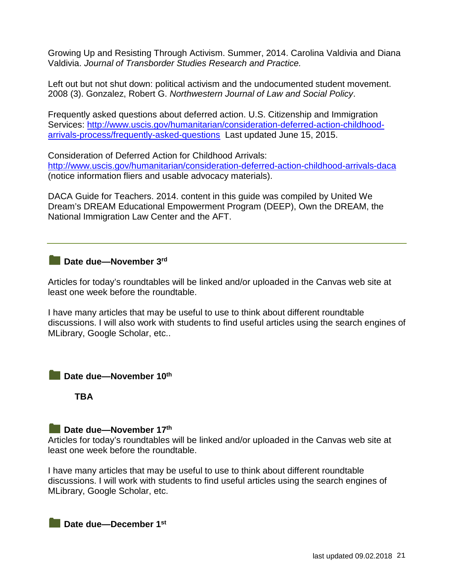Growing Up and Resisting Through Activism. Summer, 2014. Carolina Valdivia and Diana Valdivia. *Journal of Transborder Studies Research and Practice.*

Left out but not shut down: political activism and the undocumented student movement. 2008 (3). Gonzalez, Robert G. *Northwestern Journal of Law and Social Policy*.

Frequently asked questions about deferred action. U.S. Citizenship and Immigration Services: [http://www.uscis.gov/humanitarian/consideration-deferred-action-childhood](http://www.uscis.gov/humanitarian/consideration-deferred-action-childhood-arrivals-process/frequently-asked-questions)[arrivals-process/frequently-asked-questions](http://www.uscis.gov/humanitarian/consideration-deferred-action-childhood-arrivals-process/frequently-asked-questions) Last updated June 15, 2015.

Consideration of Deferred Action for Childhood Arrivals: <http://www.uscis.gov/humanitarian/consideration-deferred-action-childhood-arrivals-daca> (notice information fliers and usable advocacy materials).

DACA Guide for Teachers. 2014. content in this guide was compiled by United We Dream's DREAM Educational Empowerment Program (DEEP), Own the DREAM, the National Immigration Law Center and the AFT.

#### **Date due—November 3rd**

Articles for today's roundtables will be linked and/or uploaded in the Canvas web site at least one week before the roundtable.

I have many articles that may be useful to use to think about different roundtable discussions. I will also work with students to find useful articles using the search engines of MLibrary, Google Scholar, etc..

**Date due—November 10th** 

**TBA**

#### **Date due—November 17th**

Articles for today's roundtables will be linked and/or uploaded in the Canvas web site at least one week before the roundtable.

I have many articles that may be useful to use to think about different roundtable discussions. I will work with students to find useful articles using the search engines of MLibrary, Google Scholar, etc.

**Date due—December 1st**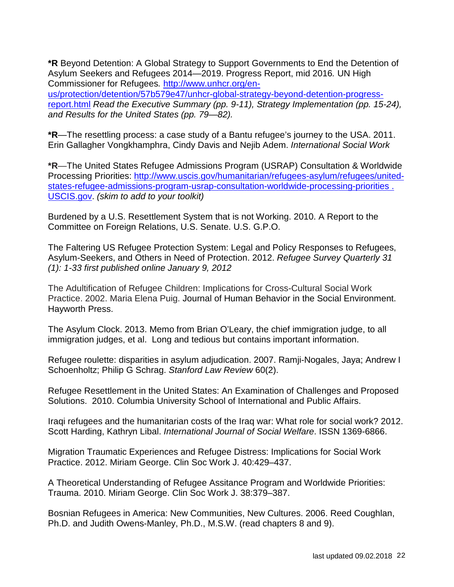**\*R** Beyond Detention: A Global Strategy to Support Governments to End the Detention of Asylum Seekers and Refugees 2014—2019. Progress Report, mid 2016*.* UN High Commissioner for Refugees*.* [http://www.unhcr.org/en](http://www.unhcr.org/en-us/protection/detention/57b579e47/unhcr-global-strategy-beyond-detention-progress-report.html)[us/protection/detention/57b579e47/unhcr-global-strategy-beyond-detention-progress](http://www.unhcr.org/en-us/protection/detention/57b579e47/unhcr-global-strategy-beyond-detention-progress-report.html)[report.html](http://www.unhcr.org/en-us/protection/detention/57b579e47/unhcr-global-strategy-beyond-detention-progress-report.html) *Read the Executive Summary (pp. 9-11), Strategy Implementation (pp. 15-24), and Results for the United States (pp. 79—82).*

**\*R**—The resettling process: a case study of a Bantu refugee's journey to the USA. 2011. Erin Gallagher Vongkhamphra, Cindy Davis and Nejib Adem. *International Social Work*

**\*R**—The United States Refugee Admissions Program (USRAP) Consultation & Worldwide Processing Priorities: [http://www.uscis.gov/humanitarian/refugees-asylum/refugees/united](http://www.uscis.gov/humanitarian/refugees-asylum/refugees/united-states-refugee-admissions-program-usrap-consultation-worldwide-processing-priorities%20.%20USCIS.gov)[states-refugee-admissions-program-usrap-consultation-worldwide-processing-priorities .](http://www.uscis.gov/humanitarian/refugees-asylum/refugees/united-states-refugee-admissions-program-usrap-consultation-worldwide-processing-priorities%20.%20USCIS.gov)  [USCIS.gov.](http://www.uscis.gov/humanitarian/refugees-asylum/refugees/united-states-refugee-admissions-program-usrap-consultation-worldwide-processing-priorities%20.%20USCIS.gov) *(skim to add to your toolkit)*

Burdened by a U.S. Resettlement System that is not Working. 2010. A Report to the Committee on Foreign Relations, U.S. Senate. U.S. G.P.O.

The Faltering US Refugee Protection System: Legal and Policy Responses to Refugees, Asylum-Seekers, and Others in Need of Protection. 2012. *Refugee Survey Quarterly 31 (1): 1-33 first published online January 9, 2012*

The Adultification of Refugee Children: Implications for Cross-Cultural Social Work Practice. 2002. Maria Elena Puig. Journal of Human Behavior in the Social Environment. Hayworth Press.

The Asylum Clock. 2013. Memo from Brian O'Leary, the chief immigration judge, to all immigration judges, et al. Long and tedious but contains important information.

Refugee roulette: disparities in asylum adjudication. 2007. Ramji-Nogales, Jaya; Andrew I Schoenholtz; Philip G Schrag. *Stanford Law Review* 60(2).

Refugee Resettlement in the United States: An Examination of Challenges and Proposed Solutions. 2010. Columbia University School of International and Public Affairs.

Iraqi refugees and the humanitarian costs of the Iraq war: What role for social work? 2012. Scott Harding, Kathryn Libal. *International Journal of Social Welfare*. ISSN 1369-6866.

Migration Traumatic Experiences and Refugee Distress: Implications for Social Work Practice. 2012. Miriam George. Clin Soc Work J. 40:429–437.

A Theoretical Understanding of Refugee Assitance Program and Worldwide Priorities: Trauma. 2010. Miriam George. Clin Soc Work J. 38:379–387.

Bosnian Refugees in America: New Communities, New Cultures. 2006. Reed Coughlan, Ph.D. and Judith Owens-Manley, Ph.D., M.S.W. (read chapters 8 and 9).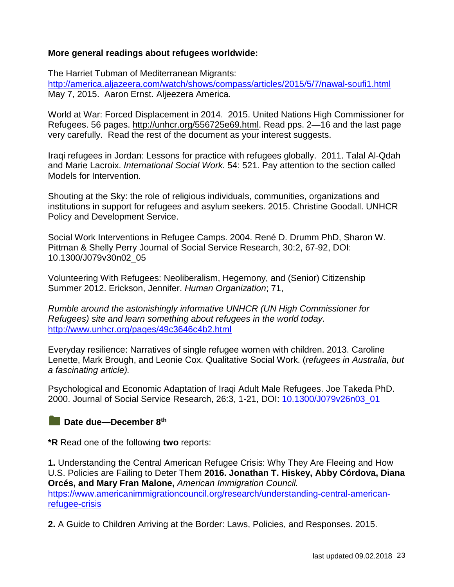#### **More general readings about refugees worldwide:**

The Harriet Tubman of Mediterranean Migrants: <http://america.aljazeera.com/watch/shows/compass/articles/2015/5/7/nawal-soufi1.html> May 7, 2015. Aaron Ernst. Aljeezera America.

World at War: Forced Displacement in 2014. 2015. United Nations High Commissioner for Refugees. 56 pages. [http://unhcr.org/556725e69.html.](http://unhcr.org/556725e69.html) Read pps. 2—16 and the last page very carefully. Read the rest of the document as your interest suggests.

Iraqi refugees in Jordan: Lessons for practice with refugees globally. 2011. Talal Al-Qdah and Marie Lacroix. *International Social Work.* 54: 521. Pay attention to the section called Models for Intervention.

Shouting at the Sky: the role of religious individuals, communities, organizations and institutions in support for refugees and asylum seekers. 2015. Christine Goodall. UNHCR Policy and Development Service.

Social Work Interventions in Refugee Camps. 2004. René D. Drumm PhD, Sharon W. Pittman & Shelly Perry Journal of Social Service Research, 30:2, 67-92, DOI: 10.1300/J079v30n02\_05

Volunteering With Refugees: Neoliberalism, Hegemony, and (Senior) Citizenship Summer 2012. Erickson, Jennifer. *Human Organization*; 71,

*Rumble around the astonishingly informative UNHCR (UN High Commissioner for Refugees) site and learn something about refugees in the world today.* <http://www.unhcr.org/pages/49c3646c4b2.html>

Everyday resilience: Narratives of single refugee women with children. 2013. Caroline Lenette, Mark Brough, and Leonie Cox. Qualitative Social Work. (*refugees in Australia, but a fascinating article).*

Psychological and Economic Adaptation of Iraqi Adult Male Refugees. Joe Takeda PhD. 2000. Journal of Social Service Research, 26:3, 1-21, DOI: 10.1300/J079v26n03\_01

### **Date due—December 8th**

**\*R** Read one of the following **two** reports:

**1.** Understanding the Central American Refugee Crisis: Why They Are Fleeing and How U.S. Policies are Failing to Deter Them **2016. Jonathan T. Hiskey, Abby Córdova, Diana Orcés, and Mary Fran Malone,** *American Immigration Council.* [https://www.americanimmigrationcouncil.org/research/understanding-central-american](https://www.americanimmigrationcouncil.org/research/understanding-central-american-refugee-crisis)[refugee-crisis](https://www.americanimmigrationcouncil.org/research/understanding-central-american-refugee-crisis)

**2.** A Guide to Children Arriving at the Border: Laws, Policies, and Responses. 2015.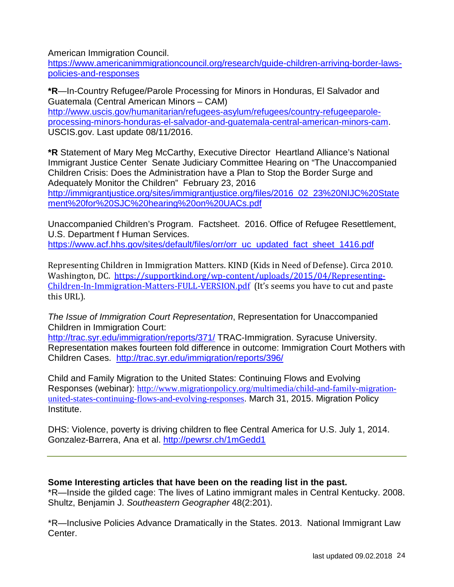American Immigration Council.

[https://www.americanimmigrationcouncil.org/research/guide-children-arriving-border-laws](https://www.americanimmigrationcouncil.org/research/guide-children-arriving-border-laws-policies-and-responses)[policies-and-responses](https://www.americanimmigrationcouncil.org/research/guide-children-arriving-border-laws-policies-and-responses)

**\*R**—In-Country Refugee/Parole Processing for Minors in Honduras, El Salvador and Guatemala (Central American Minors – CAM) [http://www.uscis.gov/humanitarian/refugees-asylum/refugees/country-refugeeparole](http://www.uscis.gov/humanitarian/refugees-asylum/refugees/country-refugeeparole-processing-minors-honduras-el-salvador-and-guatemala-central-american-minors-cam)[processing-minors-honduras-el-salvador-and-guatemala-central-american-minors-cam.](http://www.uscis.gov/humanitarian/refugees-asylum/refugees/country-refugeeparole-processing-minors-honduras-el-salvador-and-guatemala-central-american-minors-cam)

USCIS.gov. Last update 08/11/2016.

**\*R** Statement of Mary Meg McCarthy, Executive Director Heartland Alliance's National Immigrant Justice Center Senate Judiciary Committee Hearing on "The Unaccompanied Children Crisis: Does the Administration have a Plan to Stop the Border Surge and Adequately Monitor the Children" February 23, 2016 [http://immigrantjustice.org/sites/immigrantjustice.org/files/2016\\_02\\_23%20NIJC%20State](http://immigrantjustice.org/sites/immigrantjustice.org/files/2016_02_23%20NIJC%20Statement%20for%20SJC%20hearing%20on%20UACs.pdf) [ment%20for%20SJC%20hearing%20on%20UACs.pdf](http://immigrantjustice.org/sites/immigrantjustice.org/files/2016_02_23%20NIJC%20Statement%20for%20SJC%20hearing%20on%20UACs.pdf)

Unaccompanied Children's Program. Factsheet. 2016. Office of Refugee Resettlement, U.S. Department f Human Services. [https://www.acf.hhs.gov/sites/default/files/orr/orr\\_uc\\_updated\\_fact\\_sheet\\_1416.pdf](https://www.acf.hhs.gov/sites/default/files/orr/orr_uc_updated_fact_sheet_1416.pdf)

Representing Children in Immigration Matters. KIND (Kids in Need of Defense). Circa 2010. Washington, DC. [https://supportkind.org/wp-content/uploads/2015/04/Representing-](https://supportkind.org/wp-content/uploads/2015/04/Representing-Children-In-Immigration-Matters-FULL-VERSION.pdf)[Children-In-Immigration-Matters-FULL-VERSION.pdf](https://supportkind.org/wp-content/uploads/2015/04/Representing-Children-In-Immigration-Matters-FULL-VERSION.pdf) (It's seems you have to cut and paste this URL).

*The Issue of Immigration Court Representation*, Representation for Unaccompanied Children in Immigration Court:

<http://trac.syr.edu/immigration/reports/371/> TRAC-Immigration. Syracuse University. Representation makes fourteen fold difference in outcome: Immigration Court Mothers with Children Cases. <http://trac.syr.edu/immigration/reports/396/>

Child and Family Migration to the United States: Continuing Flows and Evolving Responses (webinar): [http://www.migrationpolicy.org/multimedia/child-and-family-migration](http://www.migrationpolicy.org/multimedia/child-and-family-migration-united-states-continuing-flows-and-evolving-responses)[united-states-continuing-flows-and-evolving-responses](http://www.migrationpolicy.org/multimedia/child-and-family-migration-united-states-continuing-flows-and-evolving-responses). March 31, 2015. Migration Policy Institute.

DHS: Violence, poverty is driving children to flee Central America for U.S. July 1, 2014. Gonzalez-Barrera, Ana et al.<http://pewrsr.ch/1mGedd1>

#### **Some Interesting articles that have been on the reading list in the past.**

\*R—Inside the gilded cage: The lives of Latino immigrant males in Central Kentucky. 2008. Shultz, Benjamin J. *Southeastern Geographer* 48(2:201).

\*R—Inclusive Policies Advance Dramatically in the States. 2013. National Immigrant Law Center.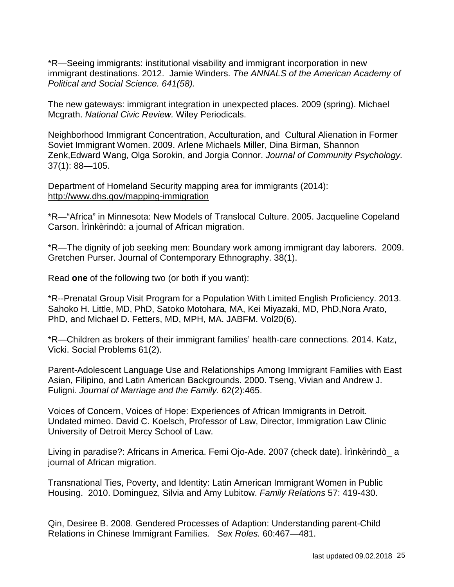\*R—Seeing immigrants: institutional visability and immigrant incorporation in new immigrant destinations. 2012. Jamie Winders. *The ANNALS of the American Academy of Political and Social Science. 641(58).*

The new gateways: immigrant integration in unexpected places. 2009 (spring). Michael Mcgrath. *National Civic Review.* Wiley Periodicals.

Neighborhood Immigrant Concentration, Acculturation, and Cultural Alienation in Former Soviet Immigrant Women. 2009. Arlene Michaels Miller, Dina Birman, Shannon Zenk,Edward Wang, Olga Sorokin, and Jorgia Connor. *Journal of Community Psychology.* 37(1): 88—105.

Department of Homeland Security mapping area for immigrants (2014): <http://www.dhs.gov/mapping-immigration>

\*R—"Africa" in Minnesota: New Models of Translocal Culture. 2005. Jacqueline Copeland Carson. Irìnkèrindò: a journal of African migration.

\*R—The dignity of job seeking men: Boundary work among immigrant day laborers. 2009. Gretchen Purser. Journal of Contemporary Ethnography. 38(1).

Read **one** of the following two (or both if you want):

\*R--Prenatal Group Visit Program for a Population With Limited English Proficiency. 2013. Sahoko H. Little, MD, PhD, Satoko Motohara, MA, Kei Miyazaki, MD, PhD,Nora Arato, PhD, and Michael D. Fetters, MD, MPH, MA. JABFM. Vol20(6).

\*R—Children as brokers of their immigrant families' health-care connections. 2014. Katz, Vicki. Social Problems 61(2).

Parent-Adolescent Language Use and Relationships Among Immigrant Families with East Asian, Filipino, and Latin American Backgrounds. 2000. Tseng, Vivian and Andrew J. Fuligni. *Journal of Marriage and the Family.* 62(2):465.

Voices of Concern, Voices of Hope: Experiences of African Immigrants in Detroit. Undated mimeo. David C. Koelsch, Professor of Law, Director, Immigration Law Clinic University of Detroit Mercy School of Law.

Living in paradise?: Africans in America. Femi Ojo-Ade. 2007 (check date). Ìrìnkèrindò\_ a journal of African migration.

Transnational Ties, Poverty, and Identity: Latin American Immigrant Women in Public Housing. 2010. Dominguez, Silvia and Amy Lubitow. *Family Relations* 57: 419-430.

Qin, Desiree B. 2008. Gendered Processes of Adaption: Understanding parent-Child Relations in Chinese Immigrant Families*. Sex Roles.* 60:467—481.